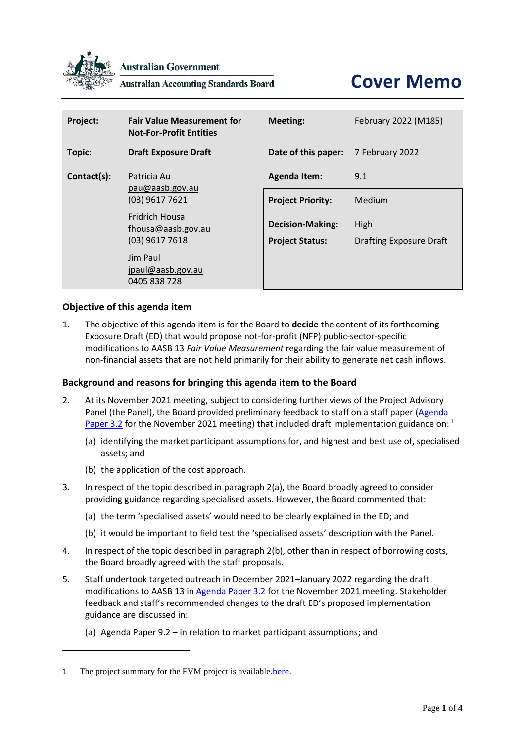

**Australian Government** 

**Australian Accounting Standards Board** 

# **Cover Memo**

| Project:    | <b>Fair Value Measurement for</b><br><b>Not-For-Profit Entities</b> | <b>Meeting:</b>                                   | February 2022 (M185)                   |
|-------------|---------------------------------------------------------------------|---------------------------------------------------|----------------------------------------|
| Topic:      | <b>Draft Exposure Draft</b>                                         | Date of this paper:                               | 7 February 2022                        |
| Contact(s): | Patricia Au<br>pau@aasb.gov.au<br>$(03)$ 9617 7621                  | <b>Agenda Item:</b>                               | 9.1                                    |
|             |                                                                     | <b>Project Priority:</b>                          | Medium                                 |
|             | <b>Fridrich Housa</b><br>fhousa@aasb.gov.au<br>$(03)$ 9617 7618     | <b>Decision-Making:</b><br><b>Project Status:</b> | High<br><b>Drafting Exposure Draft</b> |
|             | Jim Paul<br>jpaul@aasb.gov.au<br>0405 838 728                       |                                                   |                                        |

### **Objective of this agenda item**

1. The objective of this agenda item is for the Board to **decide** the content of its forthcoming Exposure Draft (ED) that would propose not-for-profit (NFP) public-sector-specific modifications to AASB 13 *Fair Value Measurement* regarding the fair value measurement of non-financial assets that are not held primarily for their ability to generate net cash inflows.

#### **Background and reasons for bringing this agenda item to the Board**

- <span id="page-0-0"></span>2. At its November 2021 meeting, subject to considering further views of the Project Advisory Panel (the Panel), the Board provided preliminary feedback to staff on a staff paper [\(Agenda](https://www.aasb.gov.au/media/nqnck1vl/3-2_sp_fvm_draftmodifications_pp.pdf)  [Paper 3.2](https://www.aasb.gov.au/media/nqnck1vl/3-2_sp_fvm_draftmodifications_pp.pdf) for the November 2021 meeting) that included draft implementation guidance on:<sup>1</sup>
	- (a) identifying the market participant assumptions for, and highest and best use of, specialised assets; and
	- (b) the application of the cost approach.
- 3. In respect of the topic described in paragrap[h 2\(](#page-0-0)a), the Board broadly agreed to consider providing guidance regarding specialised assets. However, the Board commented that:
	- (a) the term 'specialised assets' would need to be clearly explained in the ED; and
	- (b) it would be important to field test the 'specialised assets' description with the Panel.
- 4. In respect of the topic described in paragrap[h 2\(](#page-0-0)b), other than in respect of borrowing costs, the Board broadly agreed with the staff proposals.
- 5. Staff undertook targeted outreach in December 2021–January 2022 regarding the draft modifications to AASB 13 i[n Agenda Paper 3.2](https://www.aasb.gov.au/media/nqnck1vl/3-2_sp_fvm_draftmodifications_pp.pdf) for the November 2021 meeting. Stakeholder feedback and staff's recommended changes to the draft ED's proposed implementation guidance are discussed in:
	- (a) Agenda Paper 9.2 in relation to market participant assumptions; and

<sup>1</sup> The project summary for the FVM project is available[.here.](https://www.aasb.gov.au/media/wvpcwyp5/ps_fvm_nfp_entities_17-11-21.pdf)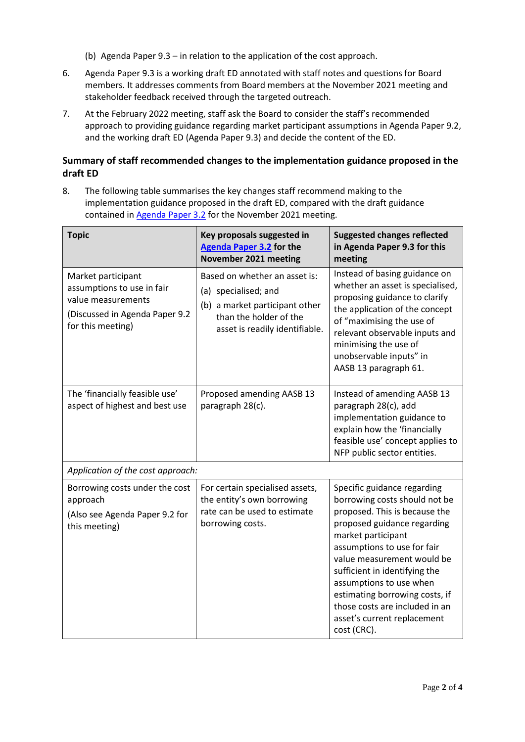- (b) Agenda Paper 9.3 in relation to the application of the cost approach.
- 6. Agenda Paper 9.3 is a working draft ED annotated with staff notes and questions for Board members. It addresses comments from Board members at the November 2021 meeting and stakeholder feedback received through the targeted outreach.
- 7. At the February 2022 meeting, staff ask the Board to consider the staff's recommended approach to providing guidance regarding market participant assumptions in Agenda Paper 9.2, and the working draft ED (Agenda Paper 9.3) and decide the content of the ED.

# **Summary of staff recommended changes to the implementation guidance proposed in the draft ED**

8. The following table summarises the key changes staff recommend making to the implementation guidance proposed in the draft ED, compared with the draft guidance contained in **Agenda Paper 3.2** for the November 2021 meeting.

| <b>Topic</b>                                                                                                                  | Key proposals suggested in<br><b>Agenda Paper 3.2</b> for the<br>November 2021 meeting                                                              | <b>Suggested changes reflected</b><br>in Agenda Paper 9.3 for this<br>meeting                                                                                                                                                                                                                                                                                                                 |  |  |  |
|-------------------------------------------------------------------------------------------------------------------------------|-----------------------------------------------------------------------------------------------------------------------------------------------------|-----------------------------------------------------------------------------------------------------------------------------------------------------------------------------------------------------------------------------------------------------------------------------------------------------------------------------------------------------------------------------------------------|--|--|--|
| Market participant<br>assumptions to use in fair<br>value measurements<br>(Discussed in Agenda Paper 9.2<br>for this meeting) | Based on whether an asset is:<br>(a) specialised; and<br>(b) a market participant other<br>than the holder of the<br>asset is readily identifiable. | Instead of basing guidance on<br>whether an asset is specialised,<br>proposing guidance to clarify<br>the application of the concept<br>of "maximising the use of<br>relevant observable inputs and<br>minimising the use of<br>unobservable inputs" in<br>AASB 13 paragraph 61.                                                                                                              |  |  |  |
| The 'financially feasible use'<br>aspect of highest and best use                                                              | Proposed amending AASB 13<br>paragraph 28(c).                                                                                                       | Instead of amending AASB 13<br>paragraph 28(c), add<br>implementation guidance to<br>explain how the 'financially<br>feasible use' concept applies to<br>NFP public sector entities.                                                                                                                                                                                                          |  |  |  |
| Application of the cost approach:                                                                                             |                                                                                                                                                     |                                                                                                                                                                                                                                                                                                                                                                                               |  |  |  |
| Borrowing costs under the cost<br>approach<br>(Also see Agenda Paper 9.2 for<br>this meeting)                                 | For certain specialised assets,<br>the entity's own borrowing<br>rate can be used to estimate<br>borrowing costs.                                   | Specific guidance regarding<br>borrowing costs should not be<br>proposed. This is because the<br>proposed guidance regarding<br>market participant<br>assumptions to use for fair<br>value measurement would be<br>sufficient in identifying the<br>assumptions to use when<br>estimating borrowing costs, if<br>those costs are included in an<br>asset's current replacement<br>cost (CRC). |  |  |  |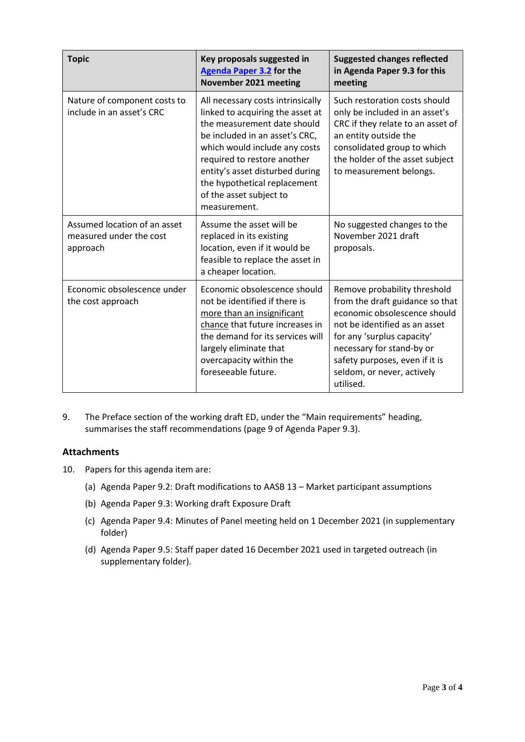| <b>Topic</b>                                                        | Key proposals suggested in<br><b>Agenda Paper 3.2</b> for the<br>November 2021 meeting                                                                                                                                                                                                                               | <b>Suggested changes reflected</b><br>in Agenda Paper 9.3 for this<br>meeting                                                                                                                                                                                            |
|---------------------------------------------------------------------|----------------------------------------------------------------------------------------------------------------------------------------------------------------------------------------------------------------------------------------------------------------------------------------------------------------------|--------------------------------------------------------------------------------------------------------------------------------------------------------------------------------------------------------------------------------------------------------------------------|
| Nature of component costs to<br>include in an asset's CRC           | All necessary costs intrinsically<br>linked to acquiring the asset at<br>the measurement date should<br>be included in an asset's CRC.<br>which would include any costs<br>required to restore another<br>entity's asset disturbed during<br>the hypothetical replacement<br>of the asset subject to<br>measurement. | Such restoration costs should<br>only be included in an asset's<br>CRC if they relate to an asset of<br>an entity outside the<br>consolidated group to which<br>the holder of the asset subject<br>to measurement belongs.                                               |
| Assumed location of an asset<br>measured under the cost<br>approach | Assume the asset will be<br>replaced in its existing<br>location, even if it would be<br>feasible to replace the asset in<br>a cheaper location.                                                                                                                                                                     | No suggested changes to the<br>November 2021 draft<br>proposals.                                                                                                                                                                                                         |
| Economic obsolescence under<br>the cost approach                    | Economic obsolescence should<br>not be identified if there is<br>more than an insignificant<br>chance that future increases in<br>the demand for its services will<br>largely eliminate that<br>overcapacity within the<br>foreseeable future.                                                                       | Remove probability threshold<br>from the draft guidance so that<br>economic obsolescence should<br>not be identified as an asset<br>for any 'surplus capacity'<br>necessary for stand-by or<br>safety purposes, even if it is<br>seldom, or never, actively<br>utilised. |

9. The Preface section of the working draft ED, under the "Main requirements" heading, summarises the staff recommendations (page 9 of Agenda Paper 9.3).

## **Attachments**

- 10. Papers for this agenda item are:
	- (a) Agenda Paper 9.2: Draft modifications to AASB 13 Market participant assumptions
	- (b) Agenda Paper 9.3: Working draft Exposure Draft
	- (c) Agenda Paper 9.4: Minutes of Panel meeting held on 1 December 2021 (in supplementary folder)
	- (d) Agenda Paper 9.5: Staff paper dated 16 December 2021 used in targeted outreach (in supplementary folder).